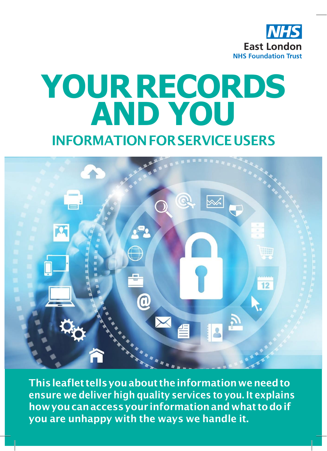

# **YOURRECORDS AND YOU**

## **INFORMATIONFORSERVICEUSERS**



**Thisleaflet tellsyouabout theinformationweneedto ensure we deliver high quality services to you. It explains howyoucanaccessyour informationandwhat todoif you are unhappy with the ways we handle it.**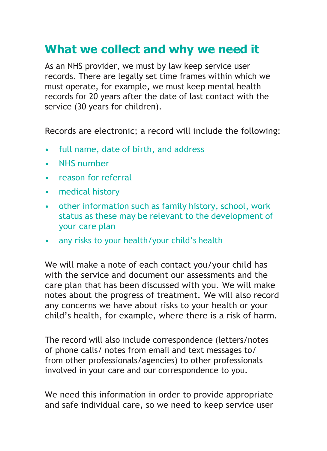#### **What we collect and why we need it**

As an NHS provider, we must by law keep service user records. There are legally set time frames within which we must operate, for example, we must keep mental health records for 20 years after the date of last contact with the service (30 years for children).

Records are electronic; a record will include the following:

- full name, date of birth, and address
- **NHS** number
- reason for referral
- medical history
- other information such as family history, school, work status as these may be relevant to the development of your care plan
- any risks to your health/your child's health

We will make a note of each contact you/your child has with the service and document our assessments and the care plan that has been discussed with you. We will make notes about the progress of treatment. We will also record any concerns we have about risks to your health or your child's health, for example, where there is a risk of harm.

The record will also include correspondence (letters/notes of phone calls/ notes from email and text messages to/ from other professionals/agencies) to other professionals involved in your care and our correspondence to you.

We need this information in order to provide appropriate and safe individual care, so we need to keep service user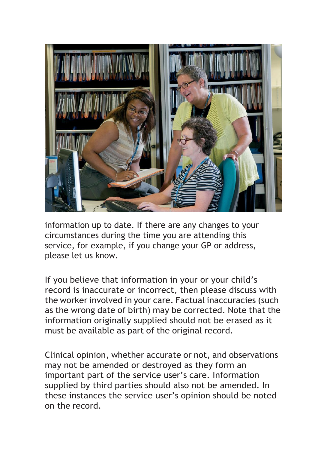

information up to date. If there are any changes to your circumstances during the time you are attending this service, for example, if you change your GP or address, please let us know.

If you believe that information in your or your child's record is inaccurate or incorrect, then please discuss with the worker involved in your care. Factual inaccuracies (such as the wrong date of birth) may be corrected. Note that the information originally supplied should not be erased as it must be available as part of the original record.

Clinical opinion, whether accurate or not, and observations may not be amended or destroyed as they form an important part of the service user's care. Information supplied by third parties should also not be amended. In these instances the service user's opinion should be noted on the record.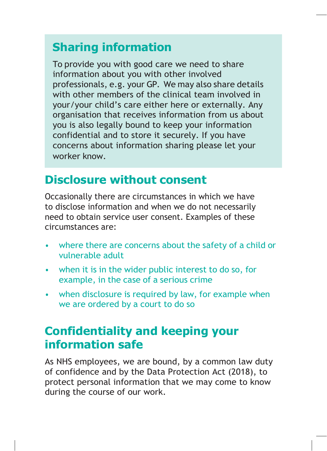## **Sharing information**

To provide you with good care we need to share information about you with other involved professionals, e.g. your GP. We may also share details with other members of the clinical team involved in your/your child's care either here or externally. Any organisation that receives information from us about you is also legally bound to keep your information confidential and to store it securely. If you have concerns about information sharing please let your worker know.

#### **Disclosure without consent**

Occasionally there are circumstances in which we have to disclose information and when we do not necessarily need to obtain service user consent. Examples of these circumstances are:

- where there are concerns about the safety of a child or vulnerable adult
- when it is in the wider public interest to do so, for example, in the case of a serious crime
- when disclosure is required by law, for example when we are ordered by a court to do so

#### **Confidentiality and keeping your information safe**

As NHS employees, we are bound, by a common law duty of confidence and by the Data Protection Act (2018), to protect personal information that we may come to know during the course of our work.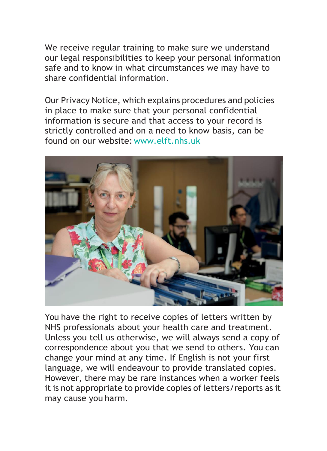We receive regular training to make sure we understand our legal responsibilities to keep your personal information safe and to know in what circumstances we may have to share confidential information.

Our Privacy Notice, which explains procedures and policies in place to make sure that your personal confidential information is secure and that access to your record is strictly controlled and on a need to know basis, can be found on our website: [www.elft.nhs.uk](http://www.elft.nhs.uk/)



You have the right to receive copies of letters written by NHS professionals about your health care and treatment. Unless you tell us otherwise, we will always send a copy of correspondence about you that we send to others. You can change your mind at any time. If English is not your first language, we will endeavour to provide translated copies. However, there may be rare instances when a worker feels it is not appropriate to provide copies of letters/reports as it may cause you harm.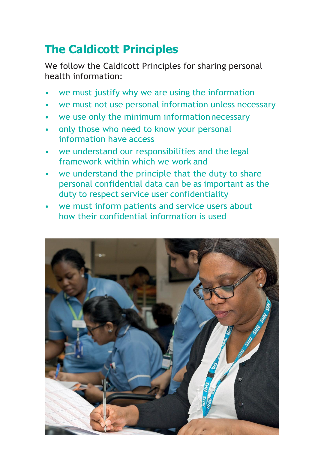## **The Caldicott Principles**

We follow the Caldicott Principles for sharing personal health information:

- we must justify why we are using the information
- we must not use personal information unless necessary
- we use only the minimum informationnecessary
- only those who need to know your personal information have access
- we understand our responsibilities and the legal framework within which we work and
- we understand the principle that the duty to share personal confidential data can be as important as the duty to respect service user confidentiality
- we must inform patients and service users about how their confidential information is used

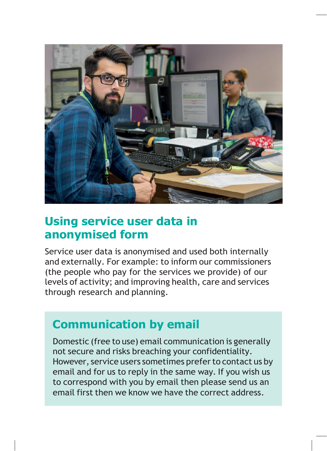

#### **Using service user data in anonymised form**

Service user data is anonymised and used both internally and externally. For example: to inform our commissioners (the people who pay for the services we provide) of our levels of activity; and improving health, care and services through research and planning.

#### **Communication by email**

Domestic (free to use) email communication is generally not secure and risks breaching your confidentiality. However, service users sometimes prefer to contact us by email and for us to reply in the same way. If you wish us to correspond with you by email then please send us an email first then we know we have the correct address.